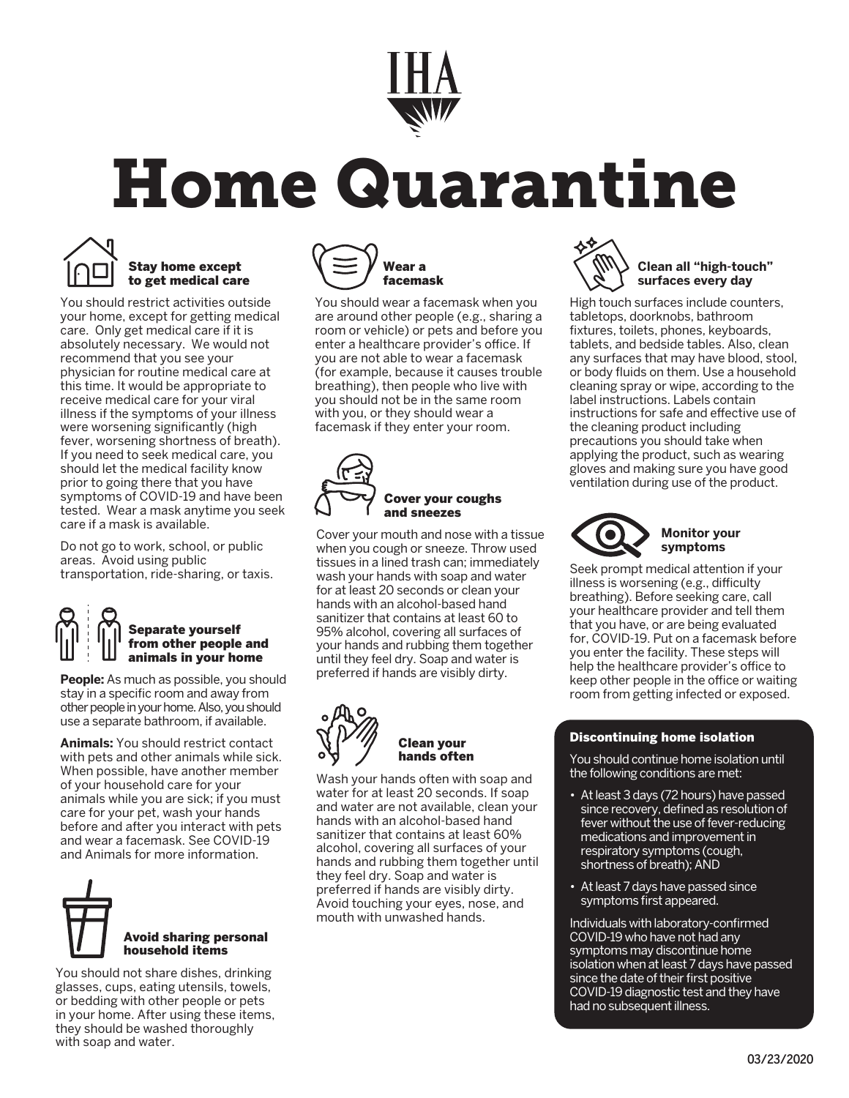

# Home Quarantine



#### Stay home except to get medical care

You should restrict activities outside your home, except for getting medical care. Only get medical care if it is absolutely necessary. We would not recommend that you see your physician for routine medical care at this time. It would be appropriate to receive medical care for your viral illness if the symptoms of your illness were worsening significantly (high fever, worsening shortness of breath). If you need to seek medical care, you should let the medical facility know prior to going there that you have symptoms of COVID-19 and have been tested. Wear a mask anytime you seek care if a mask is available.

Do not go to work, school, or public areas. Avoid using public transportation, ride-sharing, or taxis.

## Separate yourself from other people and animals in your home

**People:** As much as possible, you should stay in a specific room and away from other people in your home. Also, you should use a separate bathroom, if available.

**Animals:** You should restrict contact with pets and other animals while sick. When possible, have another member of your household care for your animals while you are sick; if you must care for your pet, wash your hands before and after you interact with pets and wear a facemask. See COVID-19 and Animals for more information.



You should not share dishes, drinking glasses, cups, eating utensils, towels, or bedding with other people or pets in your home. After using these items, they should be washed thoroughly with soap and water.



You should wear a facemask when you are around other people (e.g., sharing a room or vehicle) or pets and before you enter a healthcare provider's office. If you are not able to wear a facemask (for example, because it causes trouble breathing), then people who live with you should not be in the same room with you, or they should wear a facemask if they enter your room.



Cover your mouth and nose with a tissue when you cough or sneeze. Throw used tissues in a lined trash can; immediately wash your hands with soap and water for at least 20 seconds or clean your hands with an alcohol-based hand sanitizer that contains at least 60 to 95% alcohol, covering all surfaces of your hands and rubbing them together until they feel dry. Soap and water is preferred if hands are visibly dirty.



 Clean your hands often

Wash your hands often with soap and water for at least 20 seconds. If soap and water are not available, clean your hands with an alcohol-based hand sanitizer that contains at least 60% alcohol, covering all surfaces of your hands and rubbing them together until they feel dry. Soap and water is preferred if hands are visibly dirty. Avoid touching your eyes, nose, and mouth with unwashed hands.



High touch surfaces include counters, tabletops, doorknobs, bathroom fixtures, toilets, phones, keyboards, tablets, and bedside tables. Also, clean any surfaces that may have blood, stool, or body fluids on them. Use a household cleaning spray or wipe, according to the label instructions. Labels contain instructions for safe and effective use of the cleaning product including precautions you should take when applying the product, such as wearing gloves and making sure you have good ventilation during use of the product.



Seek prompt medical attention if your illness is worsening (e.g., difficulty breathing). Before seeking care, call your healthcare provider and tell them that you have, or are being evaluated for, COVID-19. Put on a facemask before you enter the facility. These steps will help the healthcare provider's office to keep other people in the office or waiting room from getting infected or exposed.

#### Discontinuing home isolation

You should continue home isolation until the following conditions are met:

- At least 3 days (72 hours) have passed since recovery, defined as resolution of fever without the use of fever-reducing medications and improvement in respiratory symptoms (cough, shortness of breath); AND
- At least 7 days have passed since symptoms first appeared.

Individuals with laboratory-confirmed COVID-19 who have not had any symptoms may discontinue home isolation when at least 7 days have passed since the date of their first positive COVID-19 diagnostic test and they have had no subsequent illness.